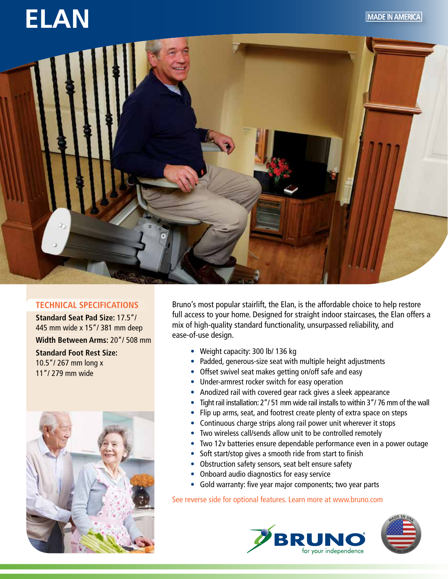

## **ELAN**



## **TECHNICAL SPECIFICATIONS**

**Standard Seat Pad Size:** 17.5"/ 445 mm wide x 15"/ 381 mm deep **Width Between Arms:** 20"/ 508 mm **Standard Foot Rest Size:** 10.5"/ 267 mm long x 11"/ 279 mm wide



Bruno's most popular stairlift, the Elan, is the affordable choice to help restore full access to your home. Designed for straight indoor staircases, the Elan offers a mix of high-quality standard functionality, unsurpassed reliability, and ease-of-use design.

- Weight capacity: 300 lb/ 136 kg
- Padded, generous-size seat with multiple height adjustments
- Offset swivel seat makes getting on/off safe and easy
- Under-armrest rocker switch for easy operation
- Anodized rail with covered gear rack gives a sleek appearance
- Tight rail installation: 2"/ 51 mm wide rail installs to within 3"/ 76 mm of the wall
- Flip up arms, seat, and footrest create plenty of extra space on steps
- Continuous charge strips along rail power unit wherever it stops
- Two wireless call/sends allow unit to be controlled remotely
- Two 12v batteries ensure dependable performance even in a power outage
- Soft start/stop gives a smooth ride from start to finish
- Obstruction safety sensors, seat belt ensure safety
- Onboard audio diagnostics for easy service
- Gold warranty: five year major components; two year parts

See reverse side for optional features. Learn more at www.bruno.com